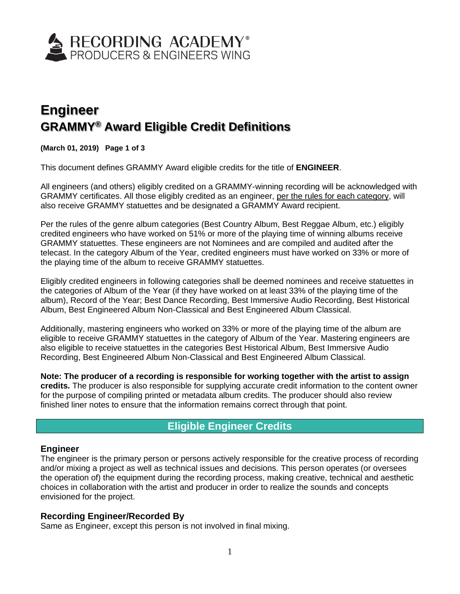

# **Engineer GRAMMY® Award Eligible Credit Definitions**

**(March 01, 2019) Page 1 of 3**

This document defines GRAMMY Award eligible credits for the title of **ENGINEER**.

All engineers (and others) eligibly credited on a GRAMMY-winning recording will be acknowledged with GRAMMY certificates. All those eligibly credited as an engineer, per the rules for each category, will also receive GRAMMY statuettes and be designated a GRAMMY Award recipient.

Per the rules of the genre album categories (Best Country Album, Best Reggae Album, etc.) eligibly credited engineers who have worked on 51% or more of the playing time of winning albums receive GRAMMY statuettes. These engineers are not Nominees and are compiled and audited after the telecast. In the category Album of the Year, credited engineers must have worked on 33% or more of the playing time of the album to receive GRAMMY statuettes.

Eligibly credited engineers in following categories shall be deemed nominees and receive statuettes in the categories of Album of the Year (if they have worked on at least 33% of the playing time of the album), Record of the Year; Best Dance Recording, Best Immersive Audio Recording, Best Historical Album, Best Engineered Album Non-Classical and Best Engineered Album Classical.

Additionally, mastering engineers who worked on 33% or more of the playing time of the album are eligible to receive GRAMMY statuettes in the category of Album of the Year. Mastering engineers are also eligible to receive statuettes in the categories Best Historical Album, Best Immersive Audio Recording, Best Engineered Album Non-Classical and Best Engineered Album Classical.

**Note: The producer of a recording is responsible for working together with the artist to assign credits.** The producer is also responsible for supplying accurate credit information to the content owner for the purpose of compiling printed or metadata album credits. The producer should also review finished liner notes to ensure that the information remains correct through that point.

# **Eligible Engineer Credits**

### **Engineer**

The engineer is the primary person or persons actively responsible for the creative process of recording and/or mixing a project as well as technical issues and decisions. This person operates (or oversees the operation of) the equipment during the recording process, making creative, technical and aesthetic choices in collaboration with the artist and producer in order to realize the sounds and concepts envisioned for the project.

### **Recording Engineer/Recorded By**

Same as Engineer, except this person is not involved in final mixing.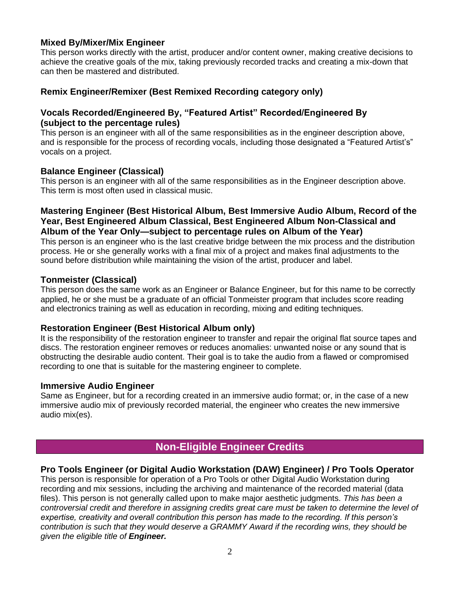# **Mixed By/Mixer/Mix Engineer**

This person works directly with the artist, producer and/or content owner, making creative decisions to achieve the creative goals of the mix, taking previously recorded tracks and creating a mix-down that can then be mastered and distributed.

## **Remix Engineer/Remixer (Best Remixed Recording category only)**

## **Vocals Recorded/Engineered By, "Featured Artist" Recorded/Engineered By (subject to the percentage rules)**

This person is an engineer with all of the same responsibilities as in the engineer description above, and is responsible for the process of recording vocals, including those designated a "Featured Artist's" vocals on a project.

### **Balance Engineer (Classical)**

This person is an engineer with all of the same responsibilities as in the Engineer description above. This term is most often used in classical music.

### **Mastering Engineer (Best Historical Album, Best Immersive Audio Album, Record of the Year, Best Engineered Album Classical, Best Engineered Album Non-Classical and Album of the Year Only—subject to percentage rules on Album of the Year)**

This person is an engineer who is the last creative bridge between the mix process and the distribution process. He or she generally works with a final mix of a project and makes final adjustments to the sound before distribution while maintaining the vision of the artist, producer and label.

#### **Tonmeister (Classical)**

This person does the same work as an Engineer or Balance Engineer, but for this name to be correctly applied, he or she must be a graduate of an official Tonmeister program that includes score reading and electronics training as well as education in recording, mixing and editing techniques.

### **Restoration Engineer (Best Historical Album only)**

It is the responsibility of the restoration engineer to transfer and repair the original flat source tapes and discs. The restoration engineer removes or reduces anomalies: unwanted noise or any sound that is obstructing the desirable audio content. Their goal is to take the audio from a flawed or compromised recording to one that is suitable for the mastering engineer to complete.

#### **Immersive Audio Engineer**

Same as Engineer, but for a recording created in an immersive audio format; or, in the case of a new immersive audio mix of previously recorded material, the engineer who creates the new immersive audio mix(es).

# **Non-Eligible Engineer Credits**

### **Pro Tools Engineer (or Digital Audio Workstation (DAW) Engineer) / Pro Tools Operator**

This person is responsible for operation of a Pro Tools or other Digital Audio Workstation during recording and mix sessions, including the archiving and maintenance of the recorded material (data files). This person is not generally called upon to make major aesthetic judgments. *This has been a controversial credit and therefore in assigning credits great care must be taken to determine the level of expertise, creativity and overall contribution this person has made to the recording. If this person's contribution is such that they would deserve a GRAMMY Award if the recording wins, they should be given the eligible title of Engineer.*